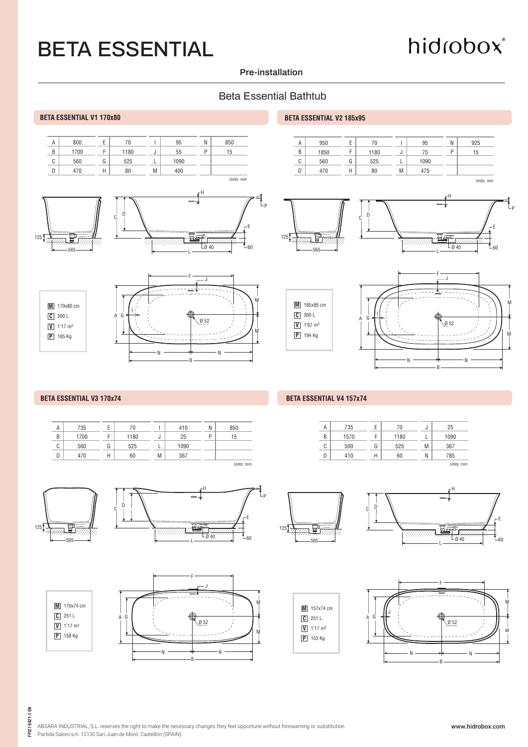# hidrobox®

#### **Pre-installation**

### Beta Essential Bathtub



#### **BETA ESSENTIAL V3 170x74** BETA ESSENTIAL V4 157x74

| Α      | 735  | ь | 70   |    | 410  | N | 850         |
|--------|------|---|------|----|------|---|-------------|
| B      | 1700 |   | 1180 | J. | 25   | P | 15          |
| ◠<br>U | 560  | G | 525  |    | 1090 |   |             |
| D      | 470  | Н | 60   | M  | 367  |   |             |
|        |      |   |      |    |      |   | I Inits: mm |



**M** 170x74 cm

**V** 1'17 m3 **C** 251 L

**P** 158 Kg







A  $B$  $\overline{c}$ D



J L M N

E F G H

Units: mm





FPI27 0421-1 EN **FPI27 0421-1 EN**

ABSARA INDUSTRIAL, S.L. reserves the right to make the necessary changes they feel opportune without forewarning or substitution. Partida Saloni s/n. 12130 San Juan de Moró. Castellón (SPAIN).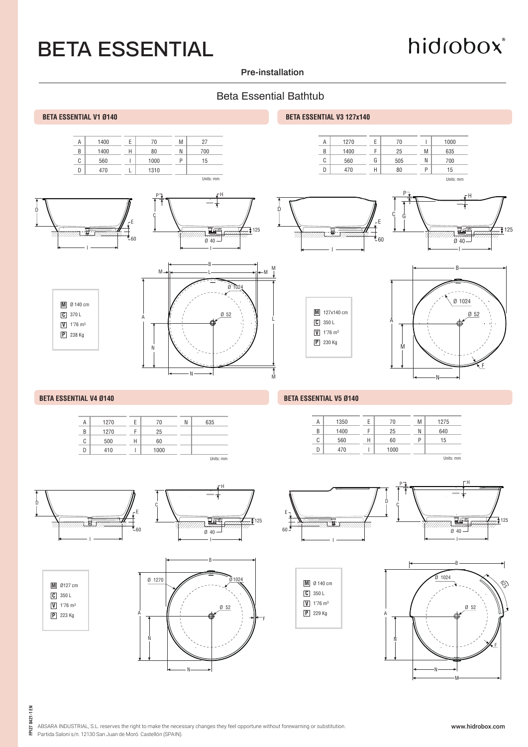# hidrobox®

#### **Pre-installation**

### Beta Essential Bathtub













Units: mm

**M** Ø127 cm

**V** 1'76 m3 **C** 350 L

**P** 223 Kg

N

Units: mm

Ø 52

Ø1024 **<sup>M</sup>**

B

F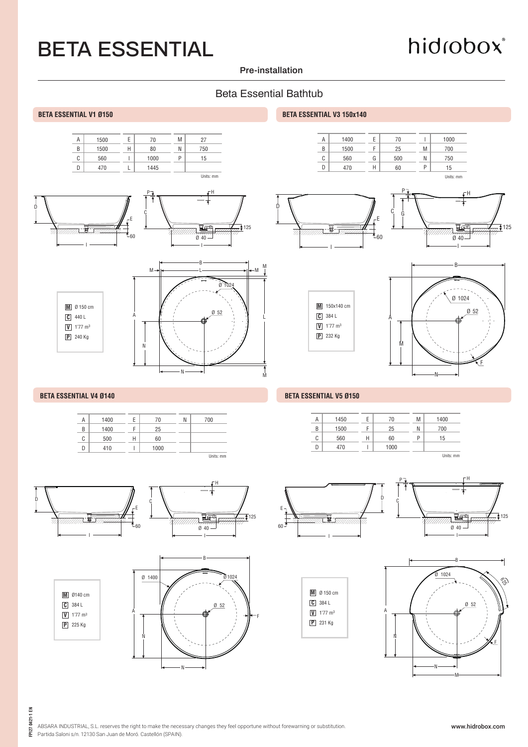# hidrobox®

#### **Pre-installation**

### Beta Essential Bathtub

M

L

M













N





A





#### **BETA ESSENTIAL V1 Ø150 BETA ESSENTIAL V3 150x140**









#### **BETA ESSENTIAL V4 Ø140** BETA ESSENTIAL V5 Ø150

| Α | 1450 | E | 70   | M | 1400      |  |
|---|------|---|------|---|-----------|--|
| B | 1500 | r | 25   | Ν | 700       |  |
| C | 560  | Н | 60   | P | 15        |  |
| D | 470  |   | 1000 |   |           |  |
|   |      |   |      |   | Units: mm |  |







N